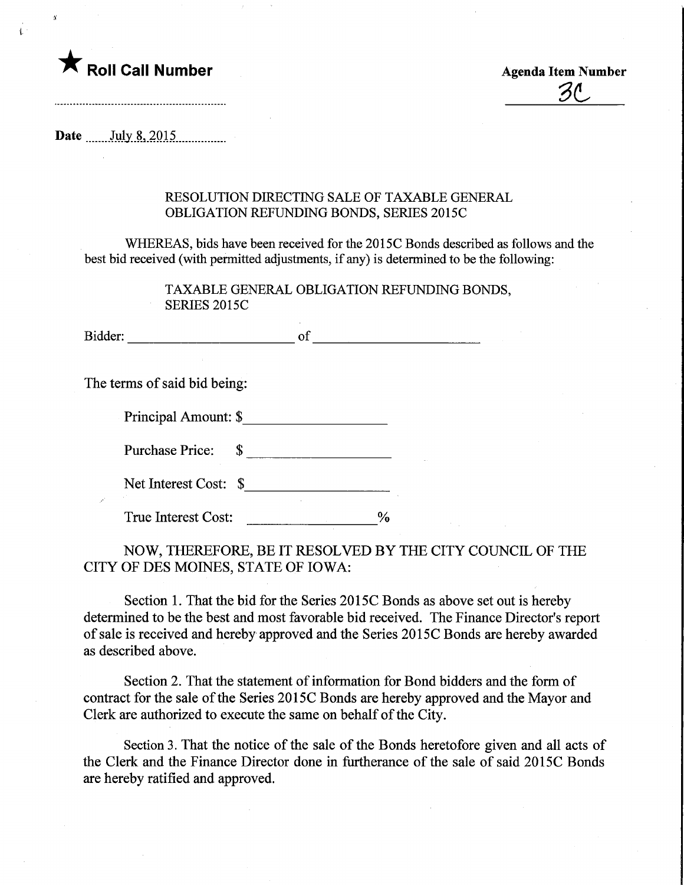

 $\ddot{\mathbf{r}}$ 

 $Z\Lambda$ 

Date ....... July 8, 2015

## RESOLUTION DIRECTING SALE OF TAXABLE GENERAL OBLIGATION REFUNDING BONDS, SERIES 2015C

WHEREAS, bids have been received for the 2015C Bonds described as follows and the best bid received (with permitted adjustments, if any) is determined to be the following:

> TAXABLE GENERAL OBLIGATION REFUNDING BONDS, SERIES 2015C

Bidder: of of the contract of the contract of the contract of the contract of the contract of the contract of the contract of the contract of the contract of the contract of the contract of the contract of the contract of

The terms of said bid being:

| Principal Amount: \$ |  |
|----------------------|--|
|----------------------|--|

Purchase Price:  $\quad \quad \text{\_}$ 

Net Interest Cost: \$

True Interest Cost:  $\%$ 

NOW, THEREFORE, BE IT RESOLVED BY THE CITY COUNCIL OF THE CITY OF DES MOINES, STATE OF IOWA:

Section 1. That the bid for the Series 2015C Bonds as above set out is hereby determined to be the best and most favorable bid received. The Finance Director's report of sale is received and hereby approved and the Series 2015C Bonds are hereby awarded as described above.

Section 2. That the statement of information for Bond bidders and the form of contract for the sale of the Series 2015C Bonds are hereby approved and the Mayor and Clerk are authorized to execute the same on behalf of the City.

Section 3. That the notice of the sale of the Bonds heretofore given and all acts of the Clerk and the Finance Director done in furtherance of the sale of said 2015C Bonds are hereby ratified and approved.